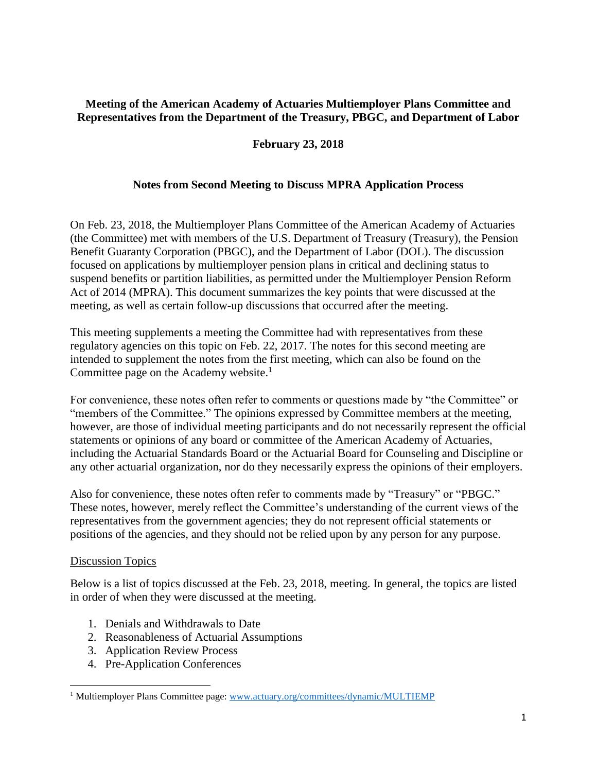## **Meeting of the American Academy of Actuaries Multiemployer Plans Committee and Representatives from the Department of the Treasury, PBGC, and Department of Labor**

## **February 23, 2018**

## **Notes from Second Meeting to Discuss MPRA Application Process**

On Feb. 23, 2018, the Multiemployer Plans Committee of the American Academy of Actuaries (the Committee) met with members of the U.S. Department of Treasury (Treasury), the Pension Benefit Guaranty Corporation (PBGC), and the Department of Labor (DOL). The discussion focused on applications by multiemployer pension plans in critical and declining status to suspend benefits or partition liabilities, as permitted under the Multiemployer Pension Reform Act of 2014 (MPRA). This document summarizes the key points that were discussed at the meeting, as well as certain follow-up discussions that occurred after the meeting.

This meeting supplements a meeting the Committee had with representatives from these regulatory agencies on this topic on Feb. 22, 2017. The notes for this second meeting are intended to supplement the notes from the first meeting, which can also be found on the Committee page on the Academy website.<sup>1</sup>

For convenience, these notes often refer to comments or questions made by "the Committee" or "members of the Committee." The opinions expressed by Committee members at the meeting, however, are those of individual meeting participants and do not necessarily represent the official statements or opinions of any board or committee of the American Academy of Actuaries, including the Actuarial Standards Board or the Actuarial Board for Counseling and Discipline or any other actuarial organization, nor do they necessarily express the opinions of their employers.

Also for convenience, these notes often refer to comments made by "Treasury" or "PBGC." These notes, however, merely reflect the Committee's understanding of the current views of the representatives from the government agencies; they do not represent official statements or positions of the agencies, and they should not be relied upon by any person for any purpose.

### **Discussion Topics**

 $\overline{\phantom{a}}$ 

Below is a list of topics discussed at the Feb. 23, 2018, meeting. In general, the topics are listed in order of when they were discussed at the meeting.

- 1. Denials and Withdrawals to Date
- 2. Reasonableness of Actuarial Assumptions
- 3. Application Review Process
- 4. Pre-Application Conferences

<sup>&</sup>lt;sup>1</sup> Multiemployer Plans Committee page: [www.actuary.org/committees/dynamic/MULTIEMP](http://www.actuary.org/committees/dynamic/MULTIEMP)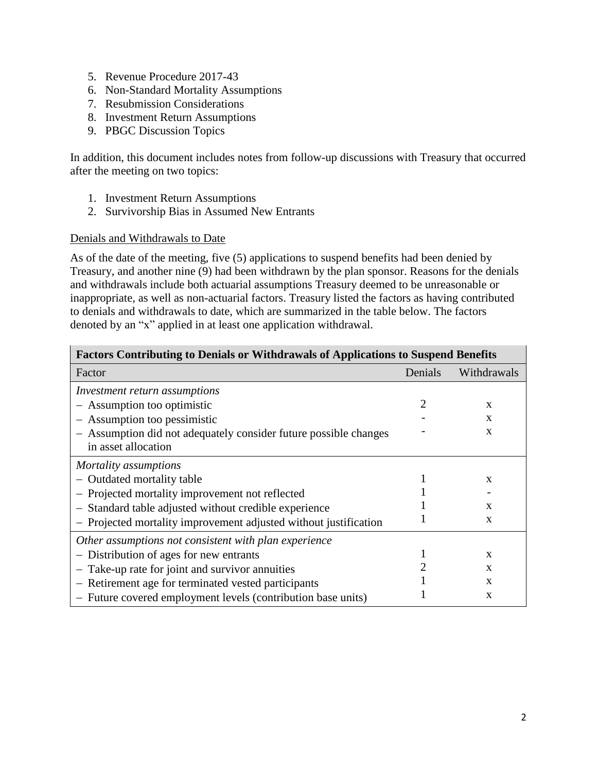- 5. Revenue Procedure 2017-43
- 6. Non-Standard Mortality Assumptions
- 7. Resubmission Considerations
- 8. Investment Return Assumptions
- 9. PBGC Discussion Topics

In addition, this document includes notes from follow-up discussions with Treasury that occurred after the meeting on two topics:

- 1. Investment Return Assumptions
- 2. Survivorship Bias in Assumed New Entrants

### Denials and Withdrawals to Date

As of the date of the meeting, five (5) applications to suspend benefits had been denied by Treasury, and another nine (9) had been withdrawn by the plan sponsor. Reasons for the denials and withdrawals include both actuarial assumptions Treasury deemed to be unreasonable or inappropriate, as well as non-actuarial factors. Treasury listed the factors as having contributed to denials and withdrawals to date, which are summarized in the table below. The factors denoted by an "x" applied in at least one application withdrawal.

| <b>Factors Contributing to Denials or Withdrawals of Applications to Suspend Benefits</b> |         |              |  |  |  |  |  |  |  |  |
|-------------------------------------------------------------------------------------------|---------|--------------|--|--|--|--|--|--|--|--|
| Factor                                                                                    | Denials | Withdrawals  |  |  |  |  |  |  |  |  |
| Investment return assumptions                                                             |         |              |  |  |  |  |  |  |  |  |
| - Assumption too optimistic                                                               |         | X            |  |  |  |  |  |  |  |  |
| - Assumption too pessimistic                                                              |         | X            |  |  |  |  |  |  |  |  |
| - Assumption did not adequately consider future possible changes                          |         | X            |  |  |  |  |  |  |  |  |
| in asset allocation                                                                       |         |              |  |  |  |  |  |  |  |  |
| Mortality assumptions                                                                     |         |              |  |  |  |  |  |  |  |  |
| - Outdated mortality table                                                                |         | $\mathbf{x}$ |  |  |  |  |  |  |  |  |
| Projected mortality improvement not reflected                                             |         |              |  |  |  |  |  |  |  |  |
| - Standard table adjusted without credible experience                                     |         | $\mathbf{x}$ |  |  |  |  |  |  |  |  |
| - Projected mortality improvement adjusted without justification                          |         | X            |  |  |  |  |  |  |  |  |
| Other assumptions not consistent with plan experience                                     |         |              |  |  |  |  |  |  |  |  |
| Distribution of ages for new entrants                                                     |         | X            |  |  |  |  |  |  |  |  |
| Take-up rate for joint and survivor annuities<br>$\qquad \qquad -$                        |         | $\mathbf{x}$ |  |  |  |  |  |  |  |  |
| Retirement age for terminated vested participants<br>$\overline{\phantom{m}}$             |         | X            |  |  |  |  |  |  |  |  |
| - Future covered employment levels (contribution base units)                              |         | $\mathbf{x}$ |  |  |  |  |  |  |  |  |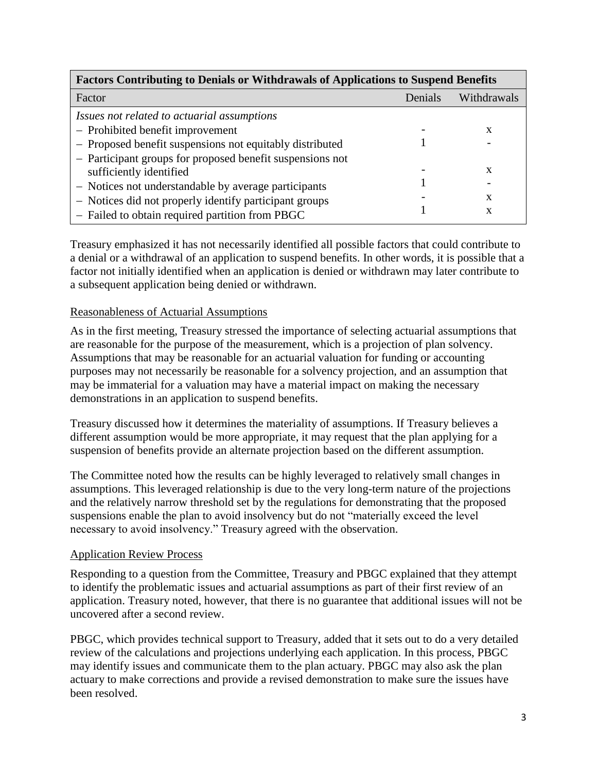| <b>Factors Contributing to Denials or Withdrawals of Applications to Suspend Benefits</b> |         |             |  |  |  |  |  |  |  |
|-------------------------------------------------------------------------------------------|---------|-------------|--|--|--|--|--|--|--|
| Factor                                                                                    | Denials | Withdrawals |  |  |  |  |  |  |  |
| Issues not related to actuarial assumptions                                               |         |             |  |  |  |  |  |  |  |
| - Prohibited benefit improvement                                                          |         | X           |  |  |  |  |  |  |  |
| - Proposed benefit suspensions not equitably distributed                                  |         |             |  |  |  |  |  |  |  |
| - Participant groups for proposed benefit suspensions not                                 |         |             |  |  |  |  |  |  |  |
| sufficiently identified                                                                   |         | x           |  |  |  |  |  |  |  |
| - Notices not understandable by average participants                                      |         |             |  |  |  |  |  |  |  |
| - Notices did not properly identify participant groups                                    |         | x           |  |  |  |  |  |  |  |
| - Failed to obtain required partition from PBGC                                           |         | X           |  |  |  |  |  |  |  |

Treasury emphasized it has not necessarily identified all possible factors that could contribute to a denial or a withdrawal of an application to suspend benefits. In other words, it is possible that a factor not initially identified when an application is denied or withdrawn may later contribute to a subsequent application being denied or withdrawn.

### Reasonableness of Actuarial Assumptions

As in the first meeting, Treasury stressed the importance of selecting actuarial assumptions that are reasonable for the purpose of the measurement, which is a projection of plan solvency. Assumptions that may be reasonable for an actuarial valuation for funding or accounting purposes may not necessarily be reasonable for a solvency projection, and an assumption that may be immaterial for a valuation may have a material impact on making the necessary demonstrations in an application to suspend benefits.

Treasury discussed how it determines the materiality of assumptions. If Treasury believes a different assumption would be more appropriate, it may request that the plan applying for a suspension of benefits provide an alternate projection based on the different assumption.

The Committee noted how the results can be highly leveraged to relatively small changes in assumptions. This leveraged relationship is due to the very long-term nature of the projections and the relatively narrow threshold set by the regulations for demonstrating that the proposed suspensions enable the plan to avoid insolvency but do not "materially exceed the level necessary to avoid insolvency." Treasury agreed with the observation.

#### Application Review Process

Responding to a question from the Committee, Treasury and PBGC explained that they attempt to identify the problematic issues and actuarial assumptions as part of their first review of an application. Treasury noted, however, that there is no guarantee that additional issues will not be uncovered after a second review.

PBGC, which provides technical support to Treasury, added that it sets out to do a very detailed review of the calculations and projections underlying each application. In this process, PBGC may identify issues and communicate them to the plan actuary. PBGC may also ask the plan actuary to make corrections and provide a revised demonstration to make sure the issues have been resolved.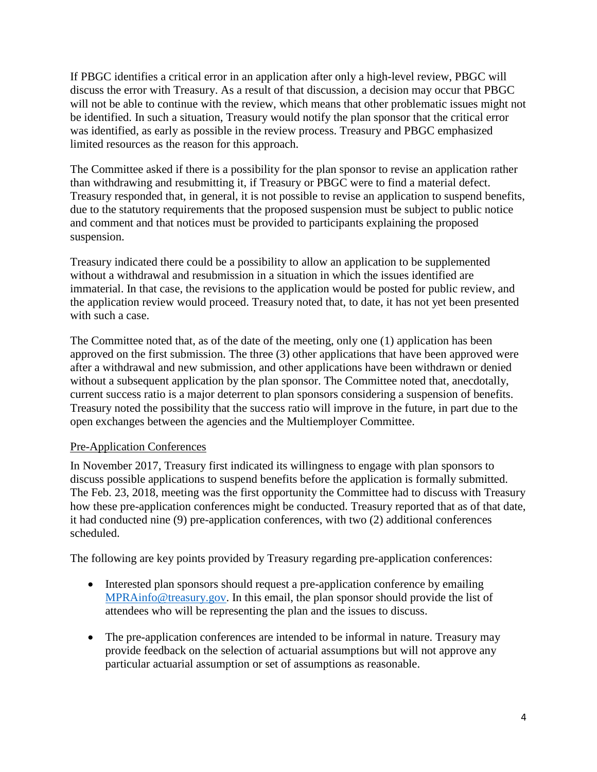If PBGC identifies a critical error in an application after only a high-level review, PBGC will discuss the error with Treasury. As a result of that discussion, a decision may occur that PBGC will not be able to continue with the review, which means that other problematic issues might not be identified. In such a situation, Treasury would notify the plan sponsor that the critical error was identified, as early as possible in the review process. Treasury and PBGC emphasized limited resources as the reason for this approach.

The Committee asked if there is a possibility for the plan sponsor to revise an application rather than withdrawing and resubmitting it, if Treasury or PBGC were to find a material defect. Treasury responded that, in general, it is not possible to revise an application to suspend benefits, due to the statutory requirements that the proposed suspension must be subject to public notice and comment and that notices must be provided to participants explaining the proposed suspension.

Treasury indicated there could be a possibility to allow an application to be supplemented without a withdrawal and resubmission in a situation in which the issues identified are immaterial. In that case, the revisions to the application would be posted for public review, and the application review would proceed. Treasury noted that, to date, it has not yet been presented with such a case.

The Committee noted that, as of the date of the meeting, only one (1) application has been approved on the first submission. The three (3) other applications that have been approved were after a withdrawal and new submission, and other applications have been withdrawn or denied without a subsequent application by the plan sponsor. The Committee noted that, anecdotally, current success ratio is a major deterrent to plan sponsors considering a suspension of benefits. Treasury noted the possibility that the success ratio will improve in the future, in part due to the open exchanges between the agencies and the Multiemployer Committee.

## Pre-Application Conferences

In November 2017, Treasury first indicated its willingness to engage with plan sponsors to discuss possible applications to suspend benefits before the application is formally submitted. The Feb. 23, 2018, meeting was the first opportunity the Committee had to discuss with Treasury how these pre-application conferences might be conducted. Treasury reported that as of that date, it had conducted nine (9) pre-application conferences, with two (2) additional conferences scheduled.

The following are key points provided by Treasury regarding pre-application conferences:

- Interested plan sponsors should request a pre-application conference by emailing [MPRAinfo@treasury.gov.](mailto:MPRAinfo@treasury.gov) In this email, the plan sponsor should provide the list of attendees who will be representing the plan and the issues to discuss.
- The pre-application conferences are intended to be informal in nature. Treasury may provide feedback on the selection of actuarial assumptions but will not approve any particular actuarial assumption or set of assumptions as reasonable.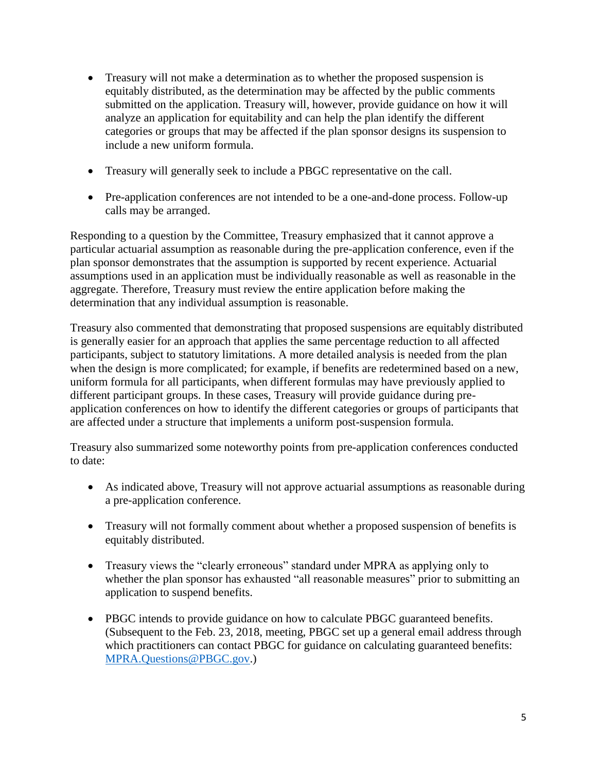- Treasury will not make a determination as to whether the proposed suspension is equitably distributed, as the determination may be affected by the public comments submitted on the application. Treasury will, however, provide guidance on how it will analyze an application for equitability and can help the plan identify the different categories or groups that may be affected if the plan sponsor designs its suspension to include a new uniform formula.
- Treasury will generally seek to include a PBGC representative on the call.
- Pre-application conferences are not intended to be a one-and-done process. Follow-up calls may be arranged.

Responding to a question by the Committee, Treasury emphasized that it cannot approve a particular actuarial assumption as reasonable during the pre-application conference, even if the plan sponsor demonstrates that the assumption is supported by recent experience. Actuarial assumptions used in an application must be individually reasonable as well as reasonable in the aggregate. Therefore, Treasury must review the entire application before making the determination that any individual assumption is reasonable.

Treasury also commented that demonstrating that proposed suspensions are equitably distributed is generally easier for an approach that applies the same percentage reduction to all affected participants, subject to statutory limitations. A more detailed analysis is needed from the plan when the design is more complicated; for example, if benefits are redetermined based on a new, uniform formula for all participants, when different formulas may have previously applied to different participant groups. In these cases, Treasury will provide guidance during preapplication conferences on how to identify the different categories or groups of participants that are affected under a structure that implements a uniform post-suspension formula.

Treasury also summarized some noteworthy points from pre-application conferences conducted to date:

- As indicated above, Treasury will not approve actuarial assumptions as reasonable during a pre-application conference.
- Treasury will not formally comment about whether a proposed suspension of benefits is equitably distributed.
- Treasury views the "clearly erroneous" standard under MPRA as applying only to whether the plan sponsor has exhausted "all reasonable measures" prior to submitting an application to suspend benefits.
- PBGC intends to provide guidance on how to calculate PBGC guaranteed benefits. (Subsequent to the Feb. 23, 2018, meeting, PBGC set up a general email address through which practitioners can contact PBGC for guidance on calculating guaranteed benefits: [MPRA.Questions@PBGC.gov.](mailto:MPRA.Questions@PBGC.gov))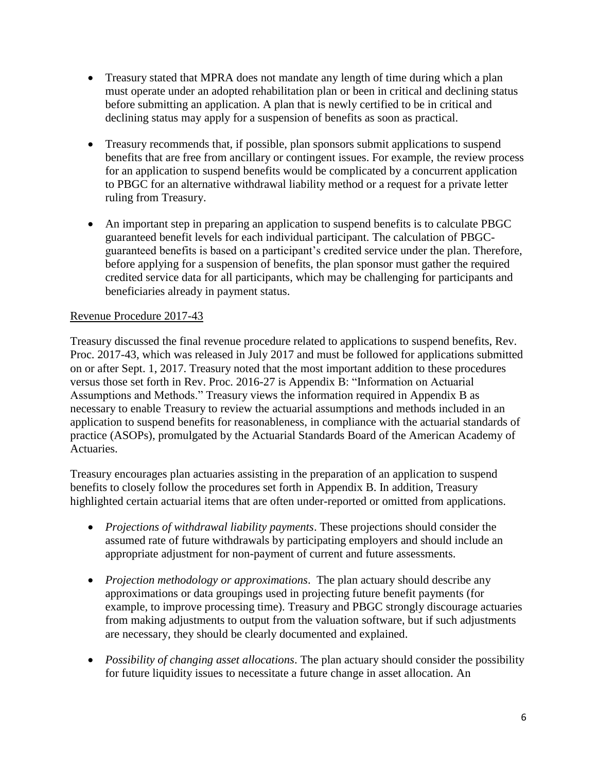- Treasury stated that MPRA does not mandate any length of time during which a plan must operate under an adopted rehabilitation plan or been in critical and declining status before submitting an application. A plan that is newly certified to be in critical and declining status may apply for a suspension of benefits as soon as practical.
- Treasury recommends that, if possible, plan sponsors submit applications to suspend benefits that are free from ancillary or contingent issues. For example, the review process for an application to suspend benefits would be complicated by a concurrent application to PBGC for an alternative withdrawal liability method or a request for a private letter ruling from Treasury.
- An important step in preparing an application to suspend benefits is to calculate PBGC guaranteed benefit levels for each individual participant. The calculation of PBGCguaranteed benefits is based on a participant's credited service under the plan. Therefore, before applying for a suspension of benefits, the plan sponsor must gather the required credited service data for all participants, which may be challenging for participants and beneficiaries already in payment status.

## Revenue Procedure 2017-43

Treasury discussed the final revenue procedure related to applications to suspend benefits, Rev. Proc. 2017-43, which was released in July 2017 and must be followed for applications submitted on or after Sept. 1, 2017. Treasury noted that the most important addition to these procedures versus those set forth in Rev. Proc. 2016-27 is Appendix B: "Information on Actuarial Assumptions and Methods." Treasury views the information required in Appendix B as necessary to enable Treasury to review the actuarial assumptions and methods included in an application to suspend benefits for reasonableness, in compliance with the actuarial standards of practice (ASOPs), promulgated by the Actuarial Standards Board of the American Academy of Actuaries.

Treasury encourages plan actuaries assisting in the preparation of an application to suspend benefits to closely follow the procedures set forth in Appendix B. In addition, Treasury highlighted certain actuarial items that are often under-reported or omitted from applications.

- *Projections of withdrawal liability payments*. These projections should consider the assumed rate of future withdrawals by participating employers and should include an appropriate adjustment for non-payment of current and future assessments.
- *Projection methodology or approximations*. The plan actuary should describe any approximations or data groupings used in projecting future benefit payments (for example, to improve processing time). Treasury and PBGC strongly discourage actuaries from making adjustments to output from the valuation software, but if such adjustments are necessary, they should be clearly documented and explained.
- *Possibility of changing asset allocations*. The plan actuary should consider the possibility for future liquidity issues to necessitate a future change in asset allocation. An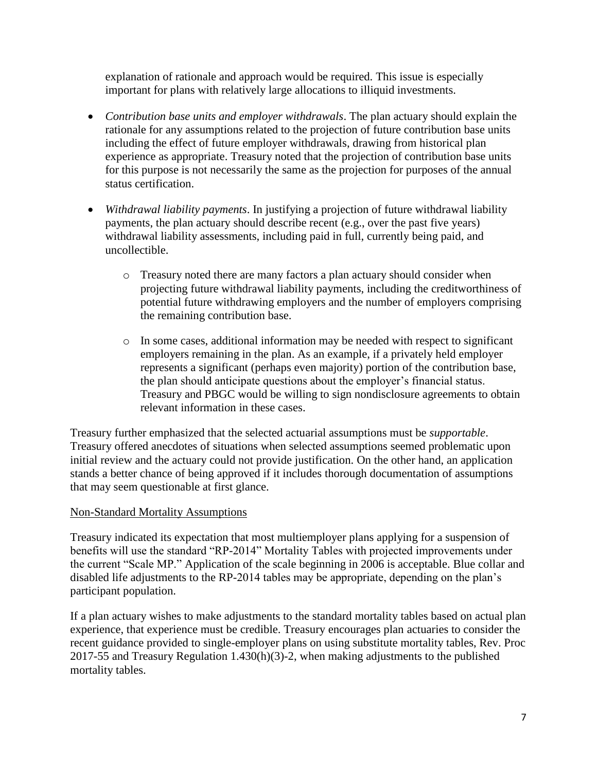explanation of rationale and approach would be required. This issue is especially important for plans with relatively large allocations to illiquid investments.

- *Contribution base units and employer withdrawals*. The plan actuary should explain the rationale for any assumptions related to the projection of future contribution base units including the effect of future employer withdrawals, drawing from historical plan experience as appropriate. Treasury noted that the projection of contribution base units for this purpose is not necessarily the same as the projection for purposes of the annual status certification.
- *Withdrawal liability payments*. In justifying a projection of future withdrawal liability payments, the plan actuary should describe recent (e.g., over the past five years) withdrawal liability assessments, including paid in full, currently being paid, and uncollectible.
	- o Treasury noted there are many factors a plan actuary should consider when projecting future withdrawal liability payments, including the creditworthiness of potential future withdrawing employers and the number of employers comprising the remaining contribution base.
	- o In some cases, additional information may be needed with respect to significant employers remaining in the plan. As an example, if a privately held employer represents a significant (perhaps even majority) portion of the contribution base, the plan should anticipate questions about the employer's financial status. Treasury and PBGC would be willing to sign nondisclosure agreements to obtain relevant information in these cases.

Treasury further emphasized that the selected actuarial assumptions must be *supportable*. Treasury offered anecdotes of situations when selected assumptions seemed problematic upon initial review and the actuary could not provide justification. On the other hand, an application stands a better chance of being approved if it includes thorough documentation of assumptions that may seem questionable at first glance.

# Non-Standard Mortality Assumptions

Treasury indicated its expectation that most multiemployer plans applying for a suspension of benefits will use the standard "RP-2014" Mortality Tables with projected improvements under the current "Scale MP." Application of the scale beginning in 2006 is acceptable. Blue collar and disabled life adjustments to the RP-2014 tables may be appropriate, depending on the plan's participant population.

If a plan actuary wishes to make adjustments to the standard mortality tables based on actual plan experience, that experience must be credible. Treasury encourages plan actuaries to consider the recent guidance provided to single-employer plans on using substitute mortality tables, Rev. Proc 2017-55 and Treasury Regulation 1.430(h)(3)-2, when making adjustments to the published mortality tables.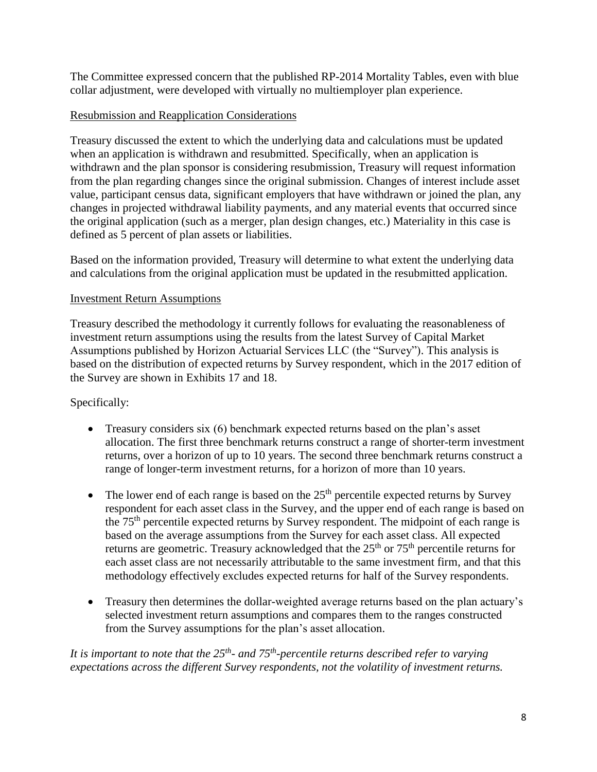The Committee expressed concern that the published RP-2014 Mortality Tables, even with blue collar adjustment, were developed with virtually no multiemployer plan experience.

## Resubmission and Reapplication Considerations

Treasury discussed the extent to which the underlying data and calculations must be updated when an application is withdrawn and resubmitted. Specifically, when an application is withdrawn and the plan sponsor is considering resubmission, Treasury will request information from the plan regarding changes since the original submission. Changes of interest include asset value, participant census data, significant employers that have withdrawn or joined the plan, any changes in projected withdrawal liability payments, and any material events that occurred since the original application (such as a merger, plan design changes, etc.) Materiality in this case is defined as 5 percent of plan assets or liabilities.

Based on the information provided, Treasury will determine to what extent the underlying data and calculations from the original application must be updated in the resubmitted application.

## Investment Return Assumptions

Treasury described the methodology it currently follows for evaluating the reasonableness of investment return assumptions using the results from the latest Survey of Capital Market Assumptions published by Horizon Actuarial Services LLC (the "Survey"). This analysis is based on the distribution of expected returns by Survey respondent, which in the 2017 edition of the Survey are shown in Exhibits 17 and 18.

# Specifically:

- Treasury considers six (6) benchmark expected returns based on the plan's asset allocation. The first three benchmark returns construct a range of shorter-term investment returns, over a horizon of up to 10 years. The second three benchmark returns construct a range of longer-term investment returns, for a horizon of more than 10 years.
- $\bullet$  The lower end of each range is based on the 25<sup>th</sup> percentile expected returns by Survey respondent for each asset class in the Survey, and the upper end of each range is based on the 75<sup>th</sup> percentile expected returns by Survey respondent. The midpoint of each range is based on the average assumptions from the Survey for each asset class. All expected returns are geometric. Treasury acknowledged that the  $25<sup>th</sup>$  or  $75<sup>th</sup>$  percentile returns for each asset class are not necessarily attributable to the same investment firm, and that this methodology effectively excludes expected returns for half of the Survey respondents.
- Treasury then determines the dollar-weighted average returns based on the plan actuary's selected investment return assumptions and compares them to the ranges constructed from the Survey assumptions for the plan's asset allocation.

*It is important to note that the 25th - and 75th -percentile returns described refer to varying expectations across the different Survey respondents, not the volatility of investment returns.*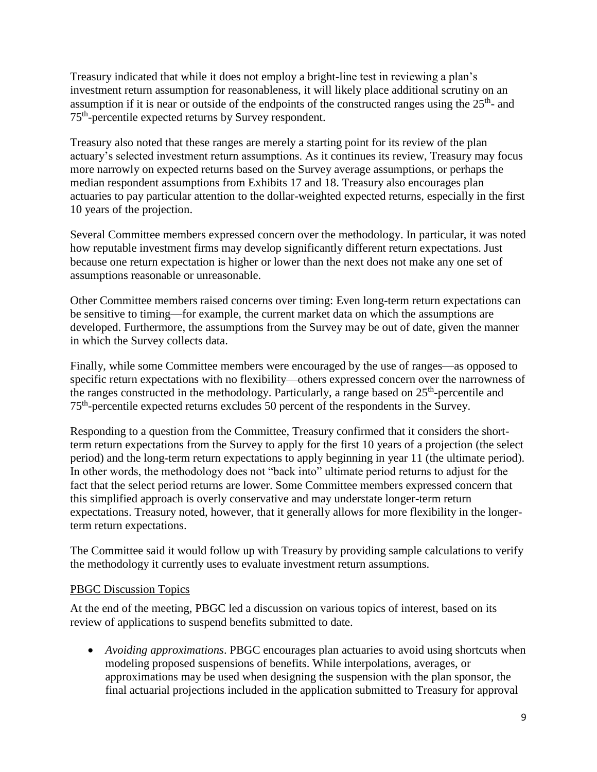Treasury indicated that while it does not employ a bright-line test in reviewing a plan's investment return assumption for reasonableness, it will likely place additional scrutiny on an assumption if it is near or outside of the endpoints of the constructed ranges using the  $25<sup>th</sup>$ - and 75<sup>th</sup>-percentile expected returns by Survey respondent.

Treasury also noted that these ranges are merely a starting point for its review of the plan actuary's selected investment return assumptions. As it continues its review, Treasury may focus more narrowly on expected returns based on the Survey average assumptions, or perhaps the median respondent assumptions from Exhibits 17 and 18. Treasury also encourages plan actuaries to pay particular attention to the dollar-weighted expected returns, especially in the first 10 years of the projection.

Several Committee members expressed concern over the methodology. In particular, it was noted how reputable investment firms may develop significantly different return expectations. Just because one return expectation is higher or lower than the next does not make any one set of assumptions reasonable or unreasonable.

Other Committee members raised concerns over timing: Even long-term return expectations can be sensitive to timing—for example, the current market data on which the assumptions are developed. Furthermore, the assumptions from the Survey may be out of date, given the manner in which the Survey collects data.

Finally, while some Committee members were encouraged by the use of ranges—as opposed to specific return expectations with no flexibility—others expressed concern over the narrowness of the ranges constructed in the methodology. Particularly, a range based on  $25<sup>th</sup>$ -percentile and 75<sup>th</sup>-percentile expected returns excludes 50 percent of the respondents in the Survey.

Responding to a question from the Committee, Treasury confirmed that it considers the shortterm return expectations from the Survey to apply for the first 10 years of a projection (the select period) and the long-term return expectations to apply beginning in year 11 (the ultimate period). In other words, the methodology does not "back into" ultimate period returns to adjust for the fact that the select period returns are lower. Some Committee members expressed concern that this simplified approach is overly conservative and may understate longer-term return expectations. Treasury noted, however, that it generally allows for more flexibility in the longerterm return expectations.

The Committee said it would follow up with Treasury by providing sample calculations to verify the methodology it currently uses to evaluate investment return assumptions.

### PBGC Discussion Topics

At the end of the meeting, PBGC led a discussion on various topics of interest, based on its review of applications to suspend benefits submitted to date.

 *Avoiding approximations*. PBGC encourages plan actuaries to avoid using shortcuts when modeling proposed suspensions of benefits. While interpolations, averages, or approximations may be used when designing the suspension with the plan sponsor, the final actuarial projections included in the application submitted to Treasury for approval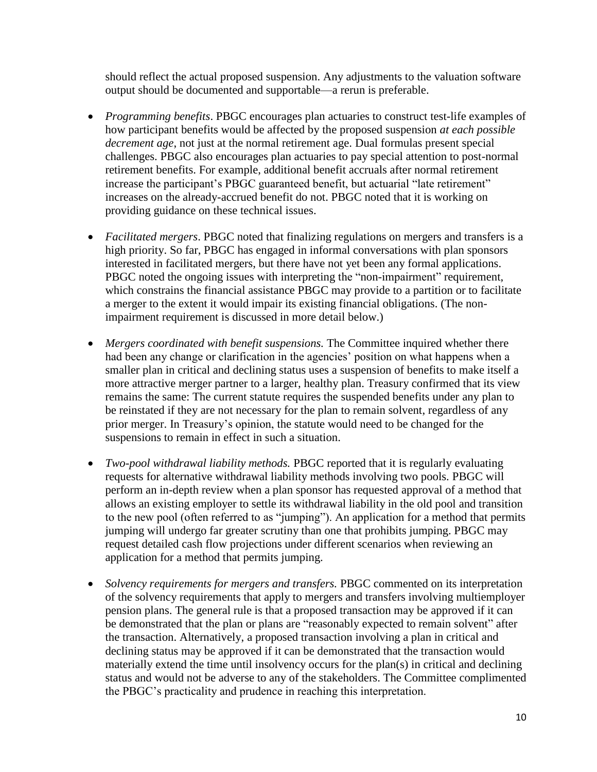should reflect the actual proposed suspension. Any adjustments to the valuation software output should be documented and supportable—a rerun is preferable.

- *Programming benefits*. PBGC encourages plan actuaries to construct test-life examples of how participant benefits would be affected by the proposed suspension *at each possible decrement age*, not just at the normal retirement age. Dual formulas present special challenges. PBGC also encourages plan actuaries to pay special attention to post-normal retirement benefits. For example, additional benefit accruals after normal retirement increase the participant's PBGC guaranteed benefit, but actuarial "late retirement" increases on the already-accrued benefit do not. PBGC noted that it is working on providing guidance on these technical issues.
- *Facilitated mergers*. PBGC noted that finalizing regulations on mergers and transfers is a high priority. So far, PBGC has engaged in informal conversations with plan sponsors interested in facilitated mergers, but there have not yet been any formal applications. PBGC noted the ongoing issues with interpreting the "non-impairment" requirement, which constrains the financial assistance PBGC may provide to a partition or to facilitate a merger to the extent it would impair its existing financial obligations. (The nonimpairment requirement is discussed in more detail below.)
- *Mergers coordinated with benefit suspensions.* The Committee inquired whether there had been any change or clarification in the agencies' position on what happens when a smaller plan in critical and declining status uses a suspension of benefits to make itself a more attractive merger partner to a larger, healthy plan. Treasury confirmed that its view remains the same: The current statute requires the suspended benefits under any plan to be reinstated if they are not necessary for the plan to remain solvent, regardless of any prior merger. In Treasury's opinion, the statute would need to be changed for the suspensions to remain in effect in such a situation.
- *Two-pool withdrawal liability methods.* PBGC reported that it is regularly evaluating requests for alternative withdrawal liability methods involving two pools. PBGC will perform an in-depth review when a plan sponsor has requested approval of a method that allows an existing employer to settle its withdrawal liability in the old pool and transition to the new pool (often referred to as "jumping"). An application for a method that permits jumping will undergo far greater scrutiny than one that prohibits jumping. PBGC may request detailed cash flow projections under different scenarios when reviewing an application for a method that permits jumping.
- *Solvency requirements for mergers and transfers.* PBGC commented on its interpretation of the solvency requirements that apply to mergers and transfers involving multiemployer pension plans. The general rule is that a proposed transaction may be approved if it can be demonstrated that the plan or plans are "reasonably expected to remain solvent" after the transaction. Alternatively, a proposed transaction involving a plan in critical and declining status may be approved if it can be demonstrated that the transaction would materially extend the time until insolvency occurs for the plan(s) in critical and declining status and would not be adverse to any of the stakeholders. The Committee complimented the PBGC's practicality and prudence in reaching this interpretation.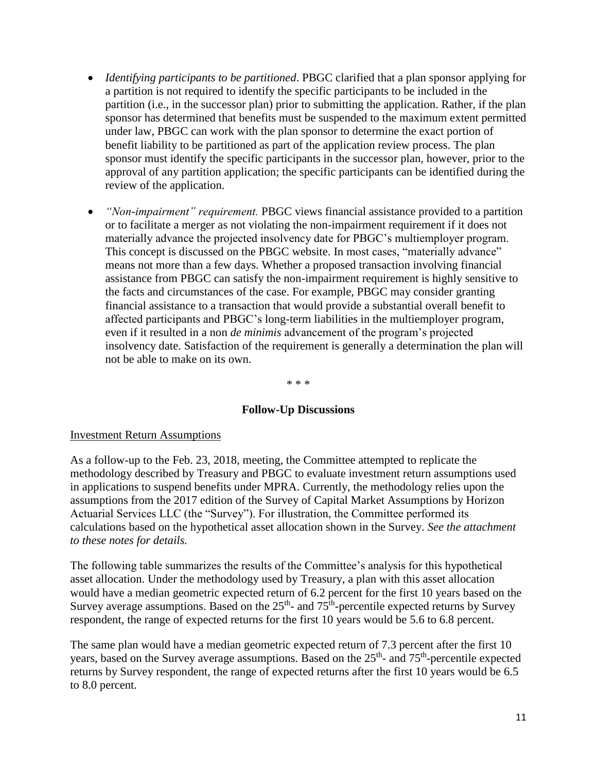- *Identifying participants to be partitioned*. PBGC clarified that a plan sponsor applying for a partition is not required to identify the specific participants to be included in the partition (i.e., in the successor plan) prior to submitting the application. Rather, if the plan sponsor has determined that benefits must be suspended to the maximum extent permitted under law, PBGC can work with the plan sponsor to determine the exact portion of benefit liability to be partitioned as part of the application review process. The plan sponsor must identify the specific participants in the successor plan, however, prior to the approval of any partition application; the specific participants can be identified during the review of the application.
- *"Non-impairment" requirement.* PBGC views financial assistance provided to a partition or to facilitate a merger as not violating the non-impairment requirement if it does not materially advance the projected insolvency date for PBGC's multiemployer program. This concept is discussed on the PBGC website. In most cases, "materially advance" means not more than a few days. Whether a proposed transaction involving financial assistance from PBGC can satisfy the non-impairment requirement is highly sensitive to the facts and circumstances of the case. For example, PBGC may consider granting financial assistance to a transaction that would provide a substantial overall benefit to affected participants and PBGC's long-term liabilities in the multiemployer program, even if it resulted in a non *de minimis* advancement of the program's projected insolvency date. Satisfaction of the requirement is generally a determination the plan will not be able to make on its own.

\* \* \*

### **Follow-Up Discussions**

#### Investment Return Assumptions

As a follow-up to the Feb. 23, 2018, meeting, the Committee attempted to replicate the methodology described by Treasury and PBGC to evaluate investment return assumptions used in applications to suspend benefits under MPRA. Currently, the methodology relies upon the assumptions from the 2017 edition of the Survey of Capital Market Assumptions by Horizon Actuarial Services LLC (the "Survey"). For illustration, the Committee performed its calculations based on the hypothetical asset allocation shown in the Survey. *See the attachment to these notes for details.* 

The following table summarizes the results of the Committee's analysis for this hypothetical asset allocation. Under the methodology used by Treasury, a plan with this asset allocation would have a median geometric expected return of 6.2 percent for the first 10 years based on the Survey average assumptions. Based on the  $25<sup>th</sup>$ - and  $75<sup>th</sup>$ -percentile expected returns by Survey respondent, the range of expected returns for the first 10 years would be 5.6 to 6.8 percent.

The same plan would have a median geometric expected return of 7.3 percent after the first 10 years, based on the Survey average assumptions. Based on the 25<sup>th</sup>- and 75<sup>th</sup>-percentile expected returns by Survey respondent, the range of expected returns after the first 10 years would be 6.5 to 8.0 percent.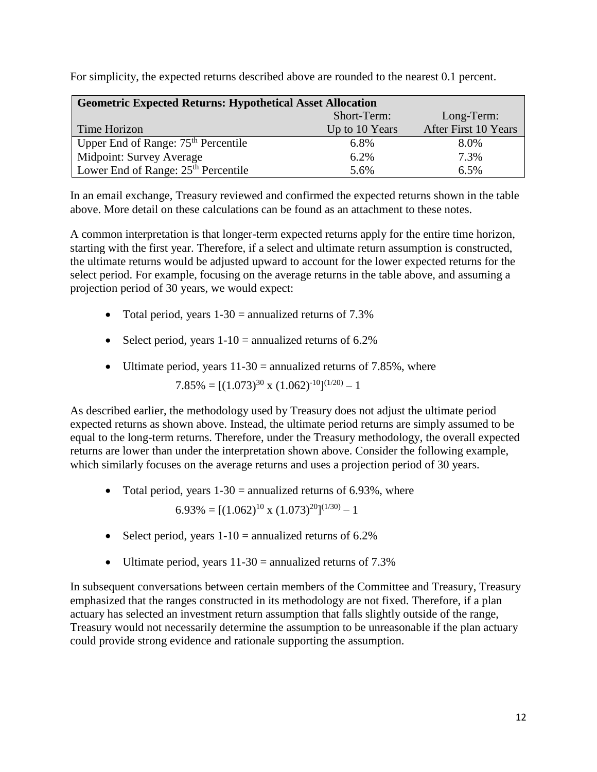| <b>Geometric Expected Returns: Hypothetical Asset Allocation</b> |                |                      |  |  |  |  |  |  |
|------------------------------------------------------------------|----------------|----------------------|--|--|--|--|--|--|
|                                                                  | Short-Term:    | Long-Term:           |  |  |  |  |  |  |
| Time Horizon                                                     | Up to 10 Years | After First 10 Years |  |  |  |  |  |  |
| Upper End of Range: 75 <sup>th</sup> Percentile                  | 6.8%           | 8.0%                 |  |  |  |  |  |  |
| Midpoint: Survey Average                                         | 6.2%           | 7.3%                 |  |  |  |  |  |  |
| Lower End of Range: 25 <sup>th</sup> Percentile                  | 5.6%           | 6.5%                 |  |  |  |  |  |  |

For simplicity, the expected returns described above are rounded to the nearest 0.1 percent.

In an email exchange, Treasury reviewed and confirmed the expected returns shown in the table above. More detail on these calculations can be found as an attachment to these notes.

A common interpretation is that longer-term expected returns apply for the entire time horizon, starting with the first year. Therefore, if a select and ultimate return assumption is constructed, the ultimate returns would be adjusted upward to account for the lower expected returns for the select period. For example, focusing on the average returns in the table above, and assuming a projection period of 30 years, we would expect:

- Total period, years  $1-30$  = annualized returns of 7.3%
- Select period, years  $1-10$  = annualized returns of 6.2%
- Ultimate period, years  $11-30$  = annualized returns of 7.85%, where

 $7.85\% = [(1.073)^{30} \times (1.062)^{-10}]^{(1/20)} - 1$ 

As described earlier, the methodology used by Treasury does not adjust the ultimate period expected returns as shown above. Instead, the ultimate period returns are simply assumed to be equal to the long-term returns. Therefore, under the Treasury methodology, the overall expected returns are lower than under the interpretation shown above. Consider the following example, which similarly focuses on the average returns and uses a projection period of 30 years.

• Total period, years  $1-30$  = annualized returns of 6.93%, where

 $6.93\% = [(1.062)^{10} \times (1.073)^{20}]^{(1/30)} - 1$ 

- Select period, years  $1-10$  = annualized returns of 6.2%
- Ultimate period, years  $11-30$  = annualized returns of 7.3%

In subsequent conversations between certain members of the Committee and Treasury, Treasury emphasized that the ranges constructed in its methodology are not fixed. Therefore, if a plan actuary has selected an investment return assumption that falls slightly outside of the range, Treasury would not necessarily determine the assumption to be unreasonable if the plan actuary could provide strong evidence and rationale supporting the assumption.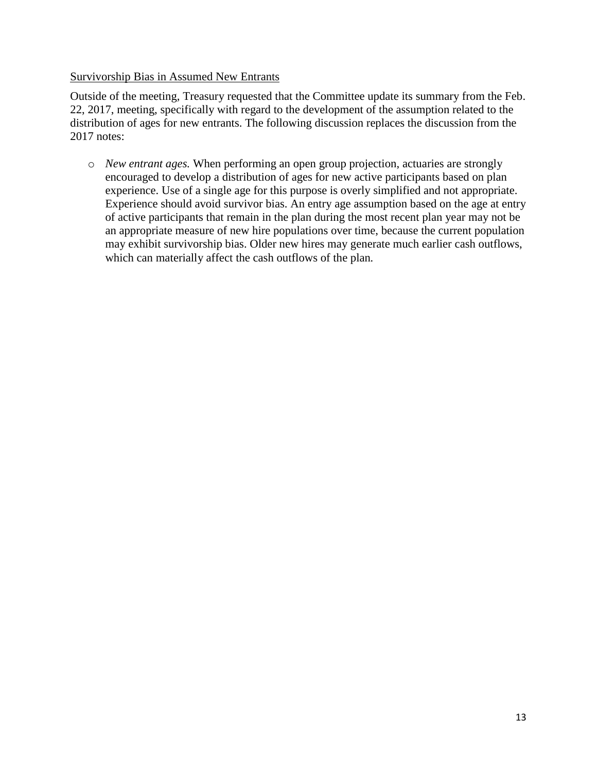## Survivorship Bias in Assumed New Entrants

Outside of the meeting, Treasury requested that the Committee update its summary from the Feb. 22, 2017, meeting, specifically with regard to the development of the assumption related to the distribution of ages for new entrants. The following discussion replaces the discussion from the 2017 notes:

o *New entrant ages.* When performing an open group projection, actuaries are strongly encouraged to develop a distribution of ages for new active participants based on plan experience. Use of a single age for this purpose is overly simplified and not appropriate. Experience should avoid survivor bias. An entry age assumption based on the age at entry of active participants that remain in the plan during the most recent plan year may not be an appropriate measure of new hire populations over time, because the current population may exhibit survivorship bias. Older new hires may generate much earlier cash outflows, which can materially affect the cash outflows of the plan*.*